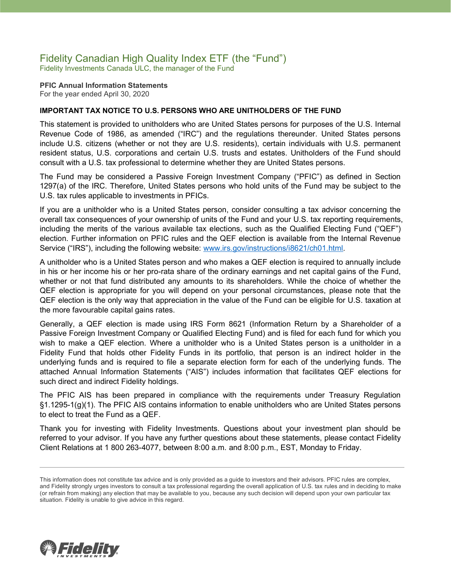# Fidelity Canadian High Quality Index ETF (the "Fund")

Fidelity Investments Canada ULC, the manager of the Fund

**PFIC Annual Information Statements** For the year ended April 30, 2020

### **IMPORTANT TAX NOTICE TO U.S. PERSONS WHO ARE UNITHOLDERS OF THE FUND**

This statement is provided to unitholders who are United States persons for purposes of the U.S. Internal Revenue Code of 1986, as amended ("IRC") and the regulations thereunder. United States persons include U.S. citizens (whether or not they are U.S. residents), certain individuals with U.S. permanent resident status, U.S. corporations and certain U.S. trusts and estates. Unitholders of the Fund should consult with a U.S. tax professional to determine whether they are United States persons.

The Fund may be considered a Passive Foreign Investment Company ("PFIC") as defined in Section 1297(a) of the IRC. Therefore, United States persons who hold units of the Fund may be subject to the U.S. tax rules applicable to investments in PFICs.

If you are a unitholder who is a United States person, consider consulting a tax advisor concerning the overall tax consequences of your ownership of units of the Fund and your U.S. tax reporting requirements, including the merits of the various available tax elections, such as the Qualified Electing Fund ("QEF") election. Further information on PFIC rules and the QEF election is available from the Internal Revenue Service ("IRS"), including the following website: [www.irs.gov/instructions/i8621/ch01.html.](http://www.irs.gov/instructions/i8621/ch01.html)

A unitholder who is a United States person and who makes a QEF election is required to annually include in his or her income his or her pro-rata share of the ordinary earnings and net capital gains of the Fund, whether or not that fund distributed any amounts to its shareholders. While the choice of whether the QEF election is appropriate for you will depend on your personal circumstances, please note that the QEF election is the only way that appreciation in the value of the Fund can be eligible for U.S. taxation at the more favourable capital gains rates.

Generally, a QEF election is made using IRS Form 8621 (Information Return by a Shareholder of a Passive Foreign Investment Company or Qualified Electing Fund) and is filed for each fund for which you wish to make a QEF election. Where a unitholder who is a United States person is a unitholder in a Fidelity Fund that holds other Fidelity Funds in its portfolio, that person is an indirect holder in the underlying funds and is required to file a separate election form for each of the underlying funds. The attached Annual Information Statements ("AIS") includes information that facilitates QEF elections for such direct and indirect Fidelity holdings.

The PFIC AIS has been prepared in compliance with the requirements under Treasury Regulation §1.1295-1(g)(1). The PFIC AIS contains information to enable unitholders who are United States persons to elect to treat the Fund as a QEF.

Thank you for investing with Fidelity Investments. Questions about your investment plan should be referred to your advisor. If you have any further questions about these statements, please contact Fidelity Client Relations at 1 800 263-4077, between 8:00 a.m. and 8:00 p.m., EST, Monday to Friday.



This information does not constitute tax advice and is only provided as a guide to investors and their advisors. PFIC rules are complex, and Fidelity strongly urges investors to consult a tax professional regarding the overall application of U.S. tax rules and in deciding to make (or refrain from making) any election that may be available to you, because any such decision will depend upon your own particular tax situation. Fidelity is unable to give advice in this regard.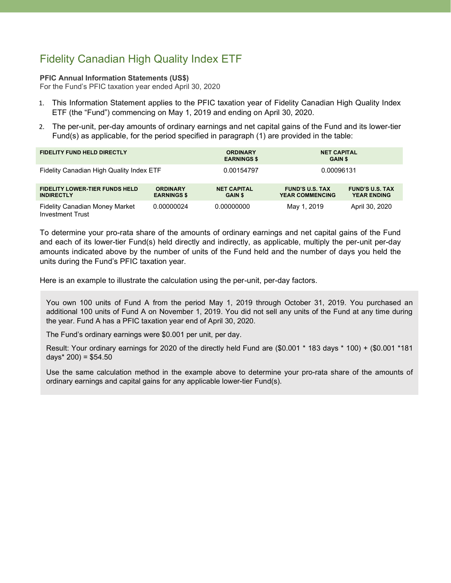## Fidelity Canadian High Quality Index ETF

#### **PFIC Annual Information Statements (US\$)**

For the Fund's PFIC taxation year ended April 30, 2020

- 1. This Information Statement applies to the PFIC taxation year of Fidelity Canadian High Quality Index ETF (the "Fund") commencing on May 1, 2019 and ending on April 30, 2020.
- 2. The per-unit, per-day amounts of ordinary earnings and net capital gains of the Fund and its lower-tier Fund(s) as applicable, for the period specified in paragraph (1) are provided in the table:

| <b>FIDELITY FUND HELD DIRECTLY</b>                               |                                       | <b>ORDINARY</b><br><b>EARNINGS \$</b> | <b>NET CAPITAL</b><br><b>GAIN \$</b>             |                                              |
|------------------------------------------------------------------|---------------------------------------|---------------------------------------|--------------------------------------------------|----------------------------------------------|
| Fidelity Canadian High Quality Index ETF                         |                                       | 0.00154797                            | 0.00096131                                       |                                              |
| <b>FIDELITY LOWER-TIER FUNDS HELD</b><br><b>INDIRECTLY</b>       | <b>ORDINARY</b><br><b>EARNINGS \$</b> | <b>NET CAPITAL</b><br><b>GAIN \$</b>  | <b>FUND'S U.S. TAX</b><br><b>YEAR COMMENCING</b> | <b>FUND'S U.S. TAX</b><br><b>YEAR ENDING</b> |
| <b>Fidelity Canadian Money Market</b><br><b>Investment Trust</b> | 0.00000024                            | 0.00000000                            | May 1, 2019                                      | April 30, 2020                               |

To determine your pro-rata share of the amounts of ordinary earnings and net capital gains of the Fund and each of its lower-tier Fund(s) held directly and indirectly, as applicable, multiply the per-unit per-day amounts indicated above by the number of units of the Fund held and the number of days you held the units during the Fund's PFIC taxation year.

Here is an example to illustrate the calculation using the per-unit, per-day factors.

You own 100 units of Fund A from the period May 1, 2019 through October 31, 2019. You purchased an additional 100 units of Fund A on November 1, 2019. You did not sell any units of the Fund at any time during the year. Fund A has a PFIC taxation year end of April 30, 2020.

The Fund's ordinary earnings were \$0.001 per unit, per day.

Result: Your ordinary earnings for 2020 of the directly held Fund are (\$0.001 \* 183 days \* 100) + (\$0.001 \*181 days $*$  200) = \$54.50

Use the same calculation method in the example above to determine your pro-rata share of the amounts of ordinary earnings and capital gains for any applicable lower-tier Fund(s).